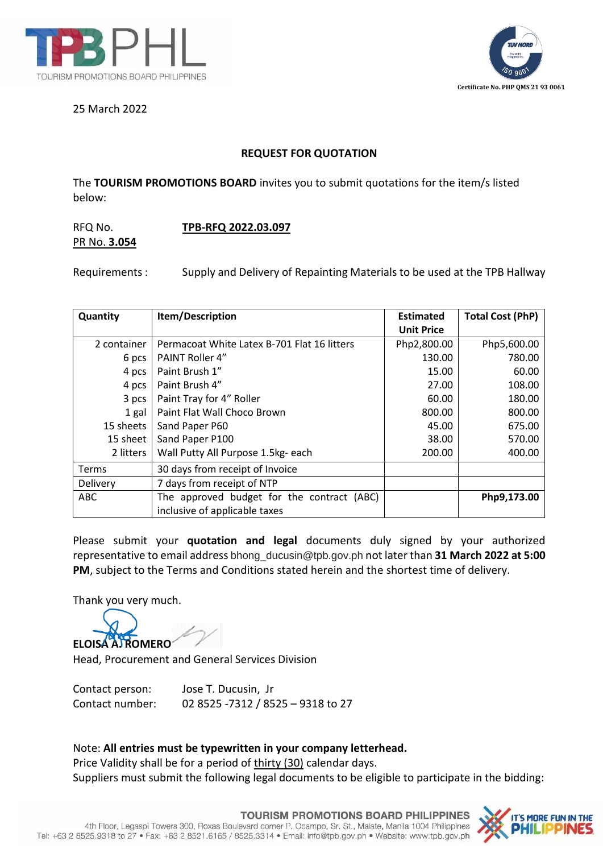



25 March 2022

## **REQUEST FOR QUOTATION**

The **TOURISM PROMOTIONS BOARD** invites you to submit quotations for the item/s listed below:

## RFQ No. **TPB-RFQ 2022.03.097** PR No. **3.054**

Requirements: Supply and Delivery of Repainting Materials to be used at the TPB Hallway

| Quantity    | Item/Description                            | <b>Estimated</b>  | <b>Total Cost (PhP)</b> |
|-------------|---------------------------------------------|-------------------|-------------------------|
|             |                                             | <b>Unit Price</b> |                         |
| 2 container | Permacoat White Latex B-701 Flat 16 litters | Php2,800.00       | Php5,600.00             |
| 6 pcs       | PAINT Roller 4"                             | 130.00            | 780.00                  |
| 4 pcs       | Paint Brush 1"                              | 15.00             | 60.00                   |
| 4 pcs       | Paint Brush 4"                              | 27.00             | 108.00                  |
| 3 pcs       | Paint Tray for 4" Roller                    | 60.00             | 180.00                  |
| 1 gal       | Paint Flat Wall Choco Brown                 | 800.00            | 800.00                  |
| 15 sheets   | Sand Paper P60                              | 45.00             | 675.00                  |
| 15 sheet    | Sand Paper P100                             | 38.00             | 570.00                  |
| 2 litters   | Wall Putty All Purpose 1.5kg- each          | 200.00            | 400.00                  |
| Terms       | 30 days from receipt of Invoice             |                   |                         |
| Delivery    | 7 days from receipt of NTP                  |                   |                         |
| <b>ABC</b>  | The approved budget for the contract (ABC)  |                   | Php9,173.00             |
|             | inclusive of applicable taxes               |                   |                         |

Please submit your **quotation and legal** documents duly signed by your authorized representative to email address bhong\_ducusin@tpb.gov.ph not later than **31 March 2022 at 5:00 PM**, subject to the Terms and Conditions stated herein and the shortest time of delivery.

Thank you very much.

**ELOISA A. ROMERO**

Head, Procurement and General Services Division

Contact person: Jose T. Ducusin, Jr Contact number: 02 8525 -7312 / 8525 – 9318 to 27

## Note: **All entries must be typewritten in your company letterhead.**

Price Validity shall be for a period of thirty (30) calendar days. Suppliers must submit the following legal documents to be eligible to participate in the bidding: